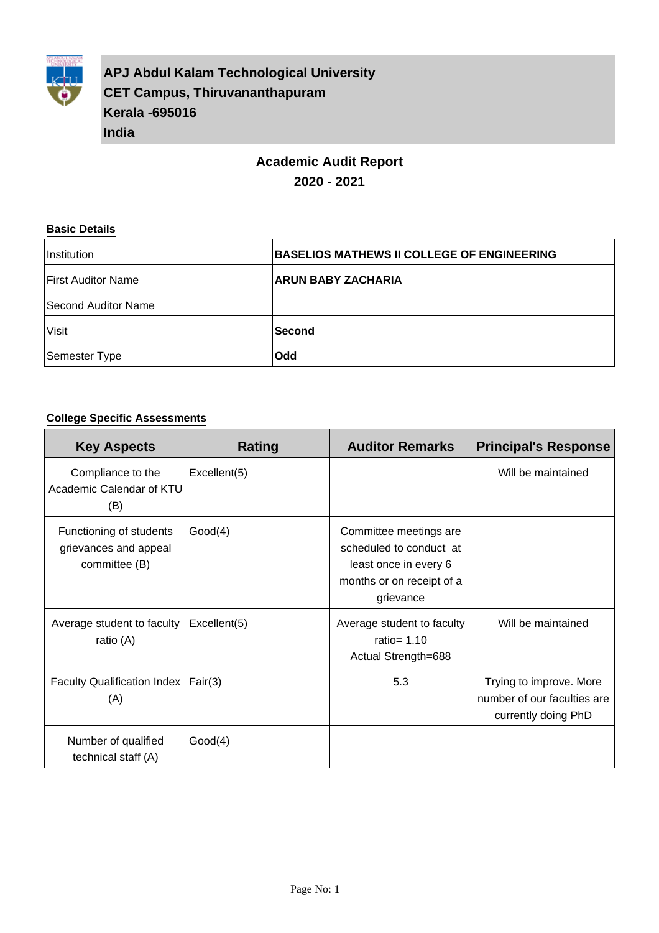

**APJ Abdul Kalam Technological University CET Campus, Thiruvananthapuram Kerala -695016 India**

# **Academic Audit Report 2020 - 2021**

#### **Basic Details**

| Institution               | <b>BASELIOS MATHEWS II COLLEGE OF ENGINEERING</b> |
|---------------------------|---------------------------------------------------|
| <b>First Auditor Name</b> | <b>ARUN BABY ZACHARIA</b>                         |
| Second Auditor Name       |                                                   |
| Visit                     | <b>Second</b>                                     |
| Semester Type             | <b>Odd</b>                                        |

### **College Specific Assessments**

| <b>Key Aspects</b>                                                | Rating       | <b>Auditor Remarks</b>                                                                                               | <b>Principal's Response</b>                                                   |
|-------------------------------------------------------------------|--------------|----------------------------------------------------------------------------------------------------------------------|-------------------------------------------------------------------------------|
| Compliance to the<br>Academic Calendar of KTU<br>(B)              | Excellent(5) |                                                                                                                      | Will be maintained                                                            |
| Functioning of students<br>grievances and appeal<br>committee (B) | Good(4)      | Committee meetings are<br>scheduled to conduct at<br>least once in every 6<br>months or on receipt of a<br>grievance |                                                                               |
| Average student to faculty<br>ratio (A)                           | Excellent(5) | Average student to faculty<br>ratio= $1.10$<br>Actual Strength=688                                                   | Will be maintained                                                            |
| Faculty Qualification Index   Fair(3)<br>(A)                      |              | 5.3                                                                                                                  | Trying to improve. More<br>number of our faculties are<br>currently doing PhD |
| Number of qualified<br>technical staff (A)                        | Good(4)      |                                                                                                                      |                                                                               |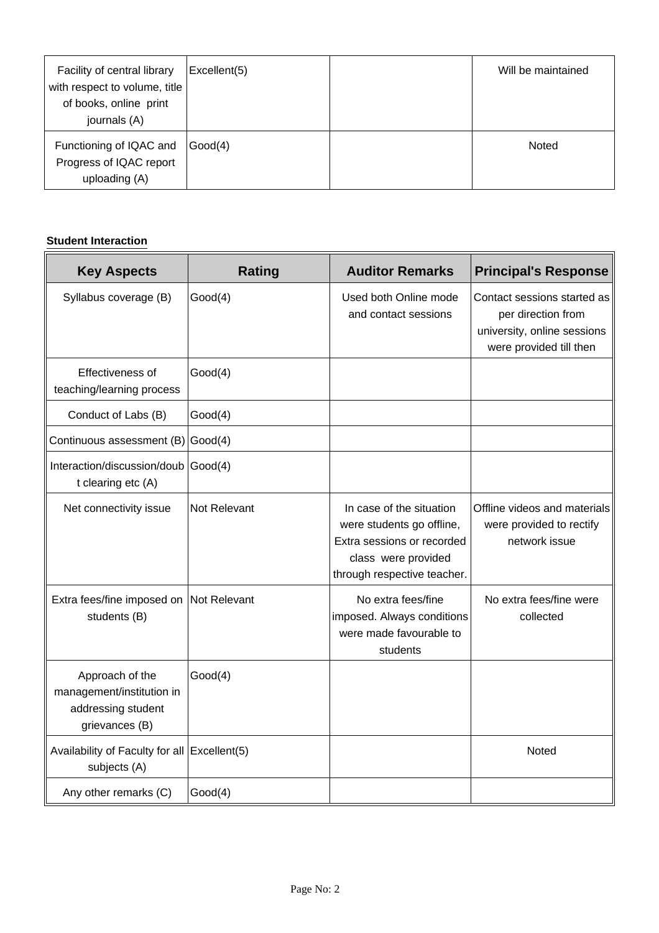| Facility of central library<br>with respect to volume, title<br>of books, online print<br>journals (A) | Excellent(5) | Will be maintained |
|--------------------------------------------------------------------------------------------------------|--------------|--------------------|
| Functioning of IQAC and<br>Progress of IQAC report<br>uploading (A)                                    | Good(4)      | Noted              |

### **Student Interaction**

| <b>Key Aspects</b>                                                                   | <b>Rating</b>    | <b>Auditor Remarks</b>                                                                                                                    | <b>Principal's Response</b>                                                                                 |
|--------------------------------------------------------------------------------------|------------------|-------------------------------------------------------------------------------------------------------------------------------------------|-------------------------------------------------------------------------------------------------------------|
| Syllabus coverage (B)                                                                | Good(4)          | Used both Online mode<br>and contact sessions                                                                                             | Contact sessions started as<br>per direction from<br>university, online sessions<br>were provided till then |
| Effectiveness of<br>teaching/learning process                                        | Good(4)          |                                                                                                                                           |                                                                                                             |
| Conduct of Labs (B)                                                                  | Good(4)          |                                                                                                                                           |                                                                                                             |
| Continuous assessment (B)                                                            | $\text{Good}(4)$ |                                                                                                                                           |                                                                                                             |
| Interaction/discussion/doub<br>t clearing etc (A)                                    | Good(4)          |                                                                                                                                           |                                                                                                             |
| Net connectivity issue                                                               | Not Relevant     | In case of the situation<br>were students go offline,<br>Extra sessions or recorded<br>class were provided<br>through respective teacher. | Offline videos and materials<br>were provided to rectify<br>network issue                                   |
| Extra fees/fine imposed on<br>students (B)                                           | Not Relevant     | No extra fees/fine<br>imposed. Always conditions<br>were made favourable to<br>students                                                   | No extra fees/fine were<br>collected                                                                        |
| Approach of the<br>management/institution in<br>addressing student<br>grievances (B) | Good(4)          |                                                                                                                                           |                                                                                                             |
| Availability of Faculty for all Excellent(5)<br>subjects (A)                         |                  |                                                                                                                                           | Noted                                                                                                       |
| Any other remarks (C)                                                                | Good(4)          |                                                                                                                                           |                                                                                                             |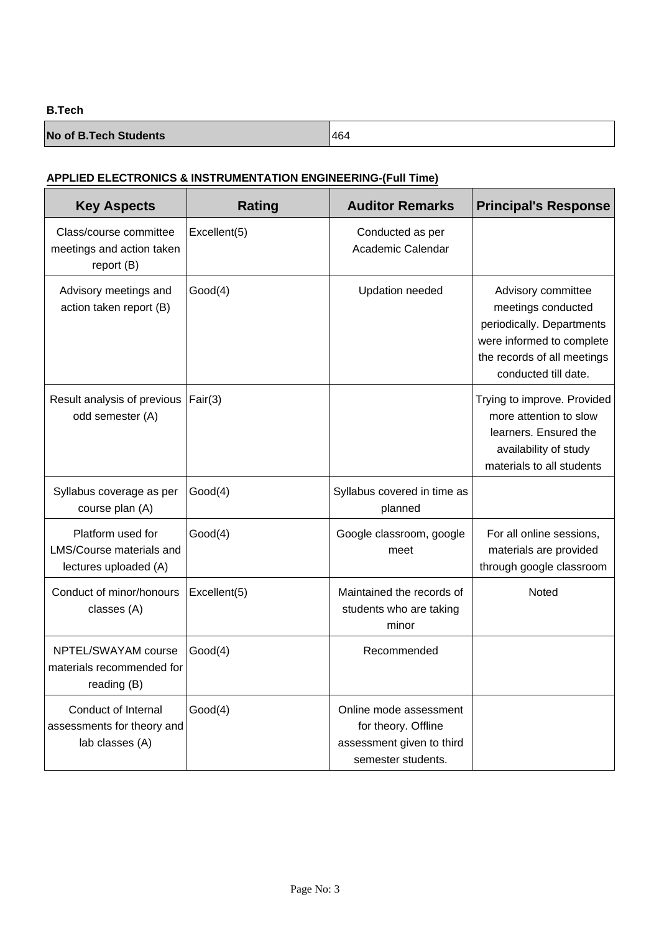### **B.Tech**

| <b>No of B.Tech Students</b> | 464 |
|------------------------------|-----|
|                              |     |

### **APPLIED ELECTRONICS & INSTRUMENTATION ENGINEERING-(Full Time)**

| <b>Key Aspects</b>                                                     | <b>Rating</b> | <b>Auditor Remarks</b>                                                                           | <b>Principal's Response</b>                                                                                                                               |
|------------------------------------------------------------------------|---------------|--------------------------------------------------------------------------------------------------|-----------------------------------------------------------------------------------------------------------------------------------------------------------|
| Class/course committee<br>meetings and action taken<br>report (B)      | Excellent(5)  | Conducted as per<br>Academic Calendar                                                            |                                                                                                                                                           |
| Advisory meetings and<br>action taken report (B)                       | Good(4)       | <b>Updation needed</b>                                                                           | Advisory committee<br>meetings conducted<br>periodically. Departments<br>were informed to complete<br>the records of all meetings<br>conducted till date. |
| Result analysis of previous<br>odd semester (A)                        | Fair(3)       |                                                                                                  | Trying to improve. Provided<br>more attention to slow<br>learners. Ensured the<br>availability of study<br>materials to all students                      |
| Syllabus coverage as per<br>course plan (A)                            | Good(4)       | Syllabus covered in time as<br>planned                                                           |                                                                                                                                                           |
| Platform used for<br>LMS/Course materials and<br>lectures uploaded (A) | Good(4)       | Google classroom, google<br>meet                                                                 | For all online sessions,<br>materials are provided<br>through google classroom                                                                            |
| Conduct of minor/honours<br>classes (A)                                | Excellent(5)  | Maintained the records of<br>students who are taking<br>minor                                    | Noted                                                                                                                                                     |
| NPTEL/SWAYAM course<br>materials recommended for<br>reading (B)        | Good(4)       | Recommended                                                                                      |                                                                                                                                                           |
| Conduct of Internal<br>assessments for theory and<br>lab classes (A)   | Good(4)       | Online mode assessment<br>for theory. Offline<br>assessment given to third<br>semester students. |                                                                                                                                                           |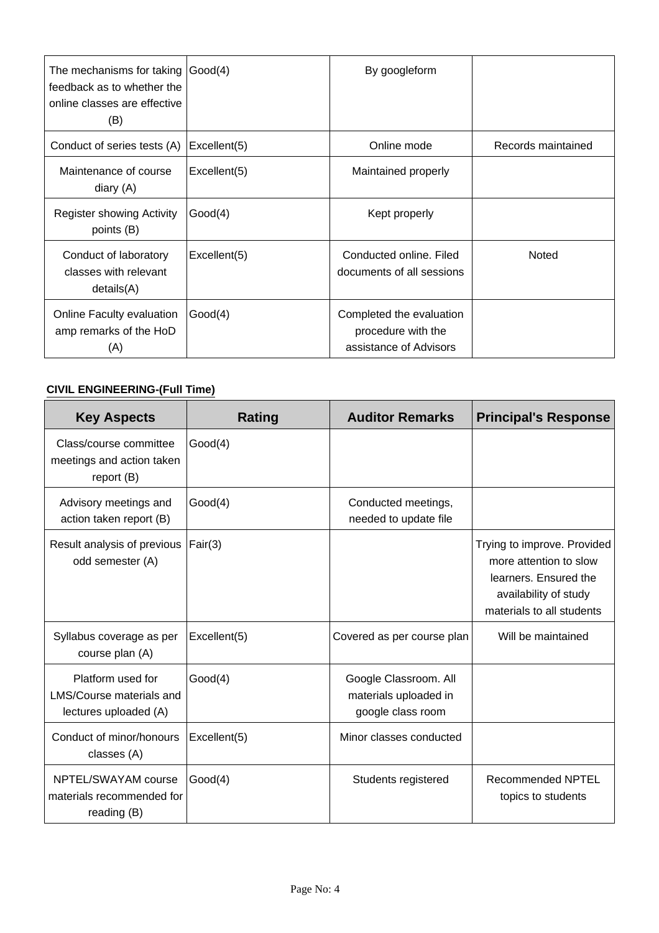| The mechanisms for taking $ Good(4) $<br>feedback as to whether the<br>online classes are effective<br>(B) |              | By googleform                                                            |                    |
|------------------------------------------------------------------------------------------------------------|--------------|--------------------------------------------------------------------------|--------------------|
| Conduct of series tests (A)                                                                                | Excellent(5) | Online mode                                                              | Records maintained |
| Maintenance of course<br>diary (A)                                                                         | Excellent(5) | Maintained properly                                                      |                    |
| <b>Register showing Activity</b><br>points (B)                                                             | Good(4)      | Kept properly                                                            |                    |
| Conduct of laboratory<br>classes with relevant<br>details(A)                                               | Excellent(5) | Conducted online. Filed<br>documents of all sessions                     | Noted              |
| Online Faculty evaluation<br>amp remarks of the HoD<br>(A)                                                 | Good(4)      | Completed the evaluation<br>procedure with the<br>assistance of Advisors |                    |

# **CIVIL ENGINEERING-(Full Time)**

| <b>Key Aspects</b>                                                     | <b>Rating</b> | <b>Auditor Remarks</b>                                              | <b>Principal's Response</b>                                                                                                          |
|------------------------------------------------------------------------|---------------|---------------------------------------------------------------------|--------------------------------------------------------------------------------------------------------------------------------------|
| Class/course committee<br>meetings and action taken<br>report $(B)$    | Good(4)       |                                                                     |                                                                                                                                      |
| Advisory meetings and<br>action taken report (B)                       | Good(4)       | Conducted meetings,<br>needed to update file                        |                                                                                                                                      |
| Result analysis of previous<br>odd semester (A)                        | Fair(3)       |                                                                     | Trying to improve. Provided<br>more attention to slow<br>learners. Ensured the<br>availability of study<br>materials to all students |
| Syllabus coverage as per<br>course plan (A)                            | Excellent(5)  | Covered as per course plan                                          | Will be maintained                                                                                                                   |
| Platform used for<br>LMS/Course materials and<br>lectures uploaded (A) | Good(4)       | Google Classroom. All<br>materials uploaded in<br>google class room |                                                                                                                                      |
| Conduct of minor/honours<br>classes (A)                                | Excellent(5)  | Minor classes conducted                                             |                                                                                                                                      |
| NPTEL/SWAYAM course<br>materials recommended for<br>reading (B)        | Good(4)       | Students registered                                                 | Recommended NPTEL<br>topics to students                                                                                              |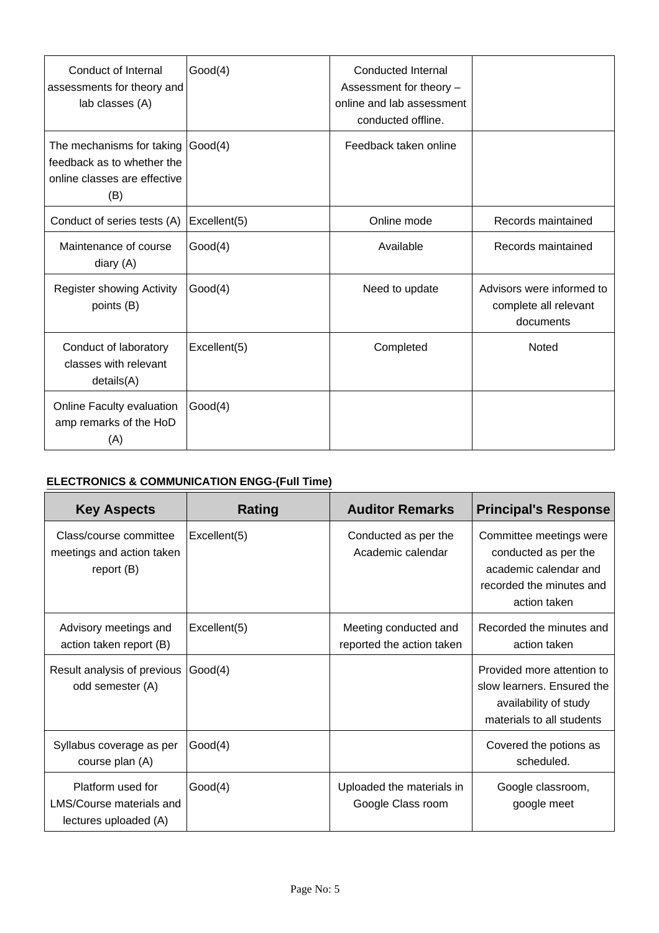| Conduct of Internal<br>assessments for theory and<br>lab classes (A)                           | Good(4)      | <b>Conducted Internal</b><br>Assessment for theory -<br>online and lab assessment<br>conducted offline. |                                                                 |
|------------------------------------------------------------------------------------------------|--------------|---------------------------------------------------------------------------------------------------------|-----------------------------------------------------------------|
| The mechanisms for taking<br>feedback as to whether the<br>online classes are effective<br>(B) | Good(4)      | Feedback taken online                                                                                   |                                                                 |
| Conduct of series tests (A)                                                                    | Excellent(5) | Online mode                                                                                             | Records maintained                                              |
| Maintenance of course<br>diary (A)                                                             | Good(4)      | Available                                                                                               | Records maintained                                              |
| <b>Register showing Activity</b><br>points (B)                                                 | Good(4)      | Need to update                                                                                          | Advisors were informed to<br>complete all relevant<br>documents |
| Conduct of laboratory<br>classes with relevant<br>details(A)                                   | Excellent(5) | Completed                                                                                               | Noted                                                           |
| Online Faculty evaluation<br>amp remarks of the HoD<br>(A)                                     | Good(4)      |                                                                                                         |                                                                 |

# **ELECTRONICS & COMMUNICATION ENGG-(Full Time)**

| <b>Key Aspects</b>                                                     | Rating       | <b>Auditor Remarks</b>                             | <b>Principal's Response</b>                                                                                          |
|------------------------------------------------------------------------|--------------|----------------------------------------------------|----------------------------------------------------------------------------------------------------------------------|
| Class/course committee<br>meetings and action taken<br>report $(B)$    | Excellent(5) | Conducted as per the<br>Academic calendar          | Committee meetings were<br>conducted as per the<br>academic calendar and<br>recorded the minutes and<br>action taken |
| Advisory meetings and<br>action taken report (B)                       | Excellent(5) | Meeting conducted and<br>reported the action taken | Recorded the minutes and<br>action taken                                                                             |
| Result analysis of previous<br>odd semester (A)                        | Good(4)      |                                                    | Provided more attention to<br>slow learners. Ensured the<br>availability of study<br>materials to all students       |
| Syllabus coverage as per<br>course plan (A)                            | Good(4)      |                                                    | Covered the potions as<br>scheduled.                                                                                 |
| Platform used for<br>LMS/Course materials and<br>lectures uploaded (A) | Good(4)      | Uploaded the materials in<br>Google Class room     | Google classroom,<br>google meet                                                                                     |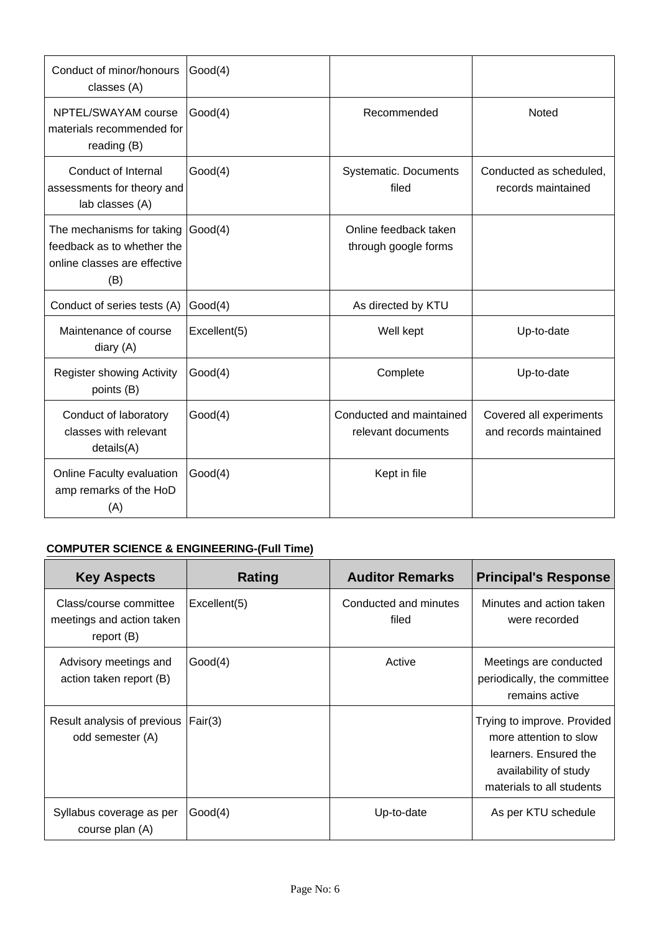| Conduct of minor/honours<br>classes (A)                                                        | Good(4)      |                                                |                                                   |
|------------------------------------------------------------------------------------------------|--------------|------------------------------------------------|---------------------------------------------------|
| NPTEL/SWAYAM course<br>materials recommended for<br>reading (B)                                | Good(4)      | Recommended                                    | Noted                                             |
| Conduct of Internal<br>assessments for theory and<br>lab classes (A)                           | Good(4)      | Systematic. Documents<br>filed                 | Conducted as scheduled.<br>records maintained     |
| The mechanisms for taking<br>feedback as to whether the<br>online classes are effective<br>(B) | Good(4)      | Online feedback taken<br>through google forms  |                                                   |
| Conduct of series tests (A)                                                                    | Good(4)      | As directed by KTU                             |                                                   |
| Maintenance of course<br>diary (A)                                                             | Excellent(5) | Well kept                                      | Up-to-date                                        |
| <b>Register showing Activity</b><br>points (B)                                                 | Good(4)      | Complete                                       | Up-to-date                                        |
| Conduct of laboratory<br>classes with relevant<br>details(A)                                   | Good(4)      | Conducted and maintained<br>relevant documents | Covered all experiments<br>and records maintained |
| Online Faculty evaluation<br>amp remarks of the HoD<br>(A)                                     | Good(4)      | Kept in file                                   |                                                   |

## **COMPUTER SCIENCE & ENGINEERING-(Full Time)**

| <b>Key Aspects</b>                                                | <b>Rating</b> | <b>Auditor Remarks</b>         | <b>Principal's Response</b>                                                                                                          |
|-------------------------------------------------------------------|---------------|--------------------------------|--------------------------------------------------------------------------------------------------------------------------------------|
| Class/course committee<br>meetings and action taken<br>report (B) | Excellent(5)  | Conducted and minutes<br>filed | Minutes and action taken<br>were recorded                                                                                            |
| Advisory meetings and<br>action taken report (B)                  | Good(4)       | Active                         | Meetings are conducted<br>periodically, the committee<br>remains active                                                              |
| Result analysis of previous<br>odd semester (A)                   | Fair(3)       |                                | Trying to improve. Provided<br>more attention to slow<br>learners. Ensured the<br>availability of study<br>materials to all students |
| Syllabus coverage as per<br>course plan (A)                       | Good(4)       | Up-to-date                     | As per KTU schedule                                                                                                                  |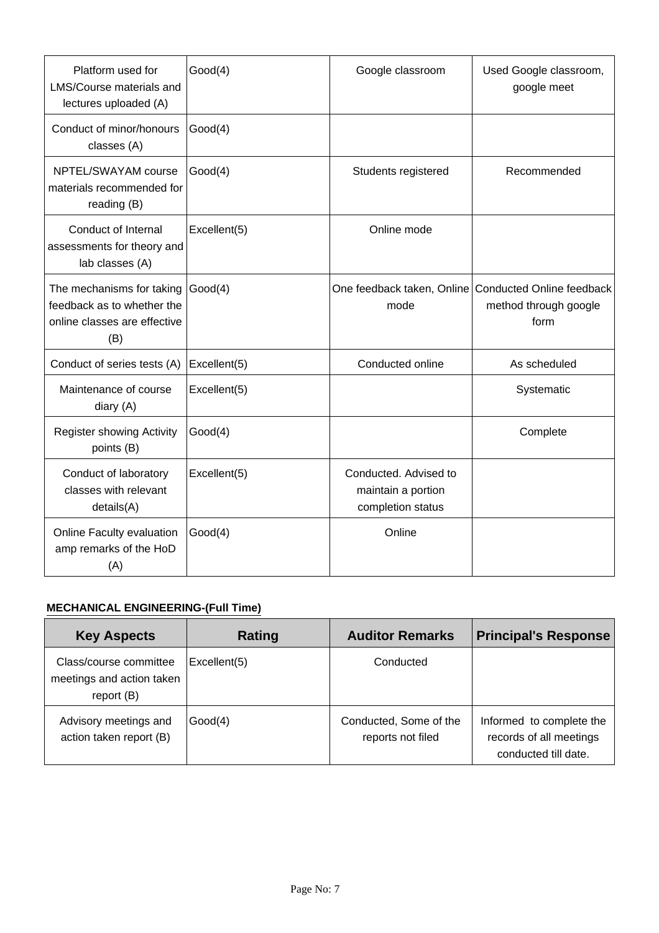| Platform used for<br><b>LMS/Course materials and</b><br>lectures uploaded (A)                  | Good(4)      | Google classroom                                                 | Used Google classroom,<br>google meet                                                   |
|------------------------------------------------------------------------------------------------|--------------|------------------------------------------------------------------|-----------------------------------------------------------------------------------------|
| Conduct of minor/honours<br>classes (A)                                                        | Good(4)      |                                                                  |                                                                                         |
| NPTEL/SWAYAM course<br>materials recommended for<br>reading (B)                                | Good(4)      | Students registered                                              | Recommended                                                                             |
| Conduct of Internal<br>assessments for theory and<br>lab classes (A)                           | Excellent(5) | Online mode                                                      |                                                                                         |
| The mechanisms for taking<br>feedback as to whether the<br>online classes are effective<br>(B) | Good(4)      | mode                                                             | One feedback taken, Online   Conducted Online feedback<br>method through google<br>form |
| Conduct of series tests (A)                                                                    | Excellent(5) | Conducted online                                                 | As scheduled                                                                            |
| Maintenance of course<br>diary (A)                                                             | Excellent(5) |                                                                  | Systematic                                                                              |
| <b>Register showing Activity</b><br>points (B)                                                 | Good(4)      |                                                                  | Complete                                                                                |
| Conduct of laboratory<br>classes with relevant<br>details(A)                                   | Excellent(5) | Conducted. Advised to<br>maintain a portion<br>completion status |                                                                                         |
| Online Faculty evaluation<br>amp remarks of the HoD<br>(A)                                     | Good(4)      | Online                                                           |                                                                                         |

### **MECHANICAL ENGINEERING-(Full Time)**

| <b>Key Aspects</b>                                                  | Rating       | <b>Auditor Remarks</b>                      | <b>Principal's Response</b>                                                 |
|---------------------------------------------------------------------|--------------|---------------------------------------------|-----------------------------------------------------------------------------|
| Class/course committee<br>meetings and action taken<br>report $(B)$ | Excellent(5) | Conducted                                   |                                                                             |
| Advisory meetings and<br>action taken report (B)                    | Good(4)      | Conducted, Some of the<br>reports not filed | Informed to complete the<br>records of all meetings<br>conducted till date. |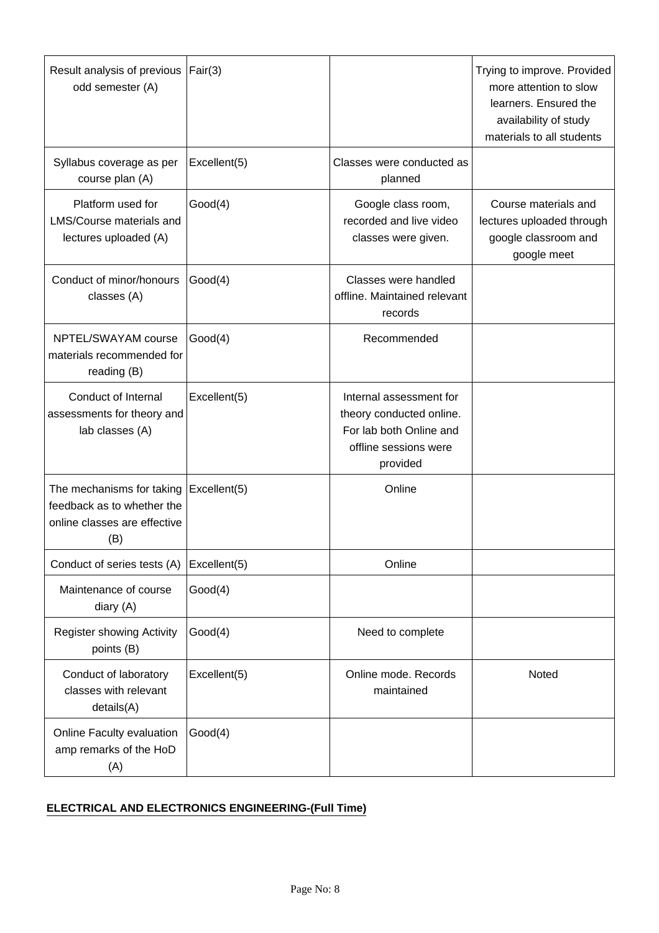| Result analysis of previous<br>odd semester (A)                                                | Fair(3)      |                                                                                                                     | Trying to improve. Provided<br>more attention to slow<br>learners. Ensured the<br>availability of study<br>materials to all students |
|------------------------------------------------------------------------------------------------|--------------|---------------------------------------------------------------------------------------------------------------------|--------------------------------------------------------------------------------------------------------------------------------------|
| Syllabus coverage as per<br>course plan (A)                                                    | Excellent(5) | Classes were conducted as<br>planned                                                                                |                                                                                                                                      |
| Platform used for<br>LMS/Course materials and<br>lectures uploaded (A)                         | Good(4)      | Google class room,<br>recorded and live video<br>classes were given.                                                | Course materials and<br>lectures uploaded through<br>google classroom and<br>google meet                                             |
| Conduct of minor/honours<br>classes (A)                                                        | Good(4)      | Classes were handled<br>offline. Maintained relevant<br>records                                                     |                                                                                                                                      |
| NPTEL/SWAYAM course<br>materials recommended for<br>reading (B)                                | Good(4)      | Recommended                                                                                                         |                                                                                                                                      |
| Conduct of Internal<br>assessments for theory and<br>lab classes (A)                           | Excellent(5) | Internal assessment for<br>theory conducted online.<br>For lab both Online and<br>offline sessions were<br>provided |                                                                                                                                      |
| The mechanisms for taking<br>feedback as to whether the<br>online classes are effective<br>(B) | Excellent(5) | Online                                                                                                              |                                                                                                                                      |
| Conduct of series tests (A)                                                                    | Excellent(5) | Online                                                                                                              |                                                                                                                                      |
| Maintenance of course<br>diary (A)                                                             | Good(4)      |                                                                                                                     |                                                                                                                                      |
| <b>Register showing Activity</b><br>points (B)                                                 | Good(4)      | Need to complete                                                                                                    |                                                                                                                                      |
| Conduct of laboratory<br>classes with relevant<br>details(A)                                   | Excellent(5) | Online mode. Records<br>maintained                                                                                  | Noted                                                                                                                                |
| Online Faculty evaluation<br>amp remarks of the HoD<br>(A)                                     | Good(4)      |                                                                                                                     |                                                                                                                                      |

## **ELECTRICAL AND ELECTRONICS ENGINEERING-(Full Time)**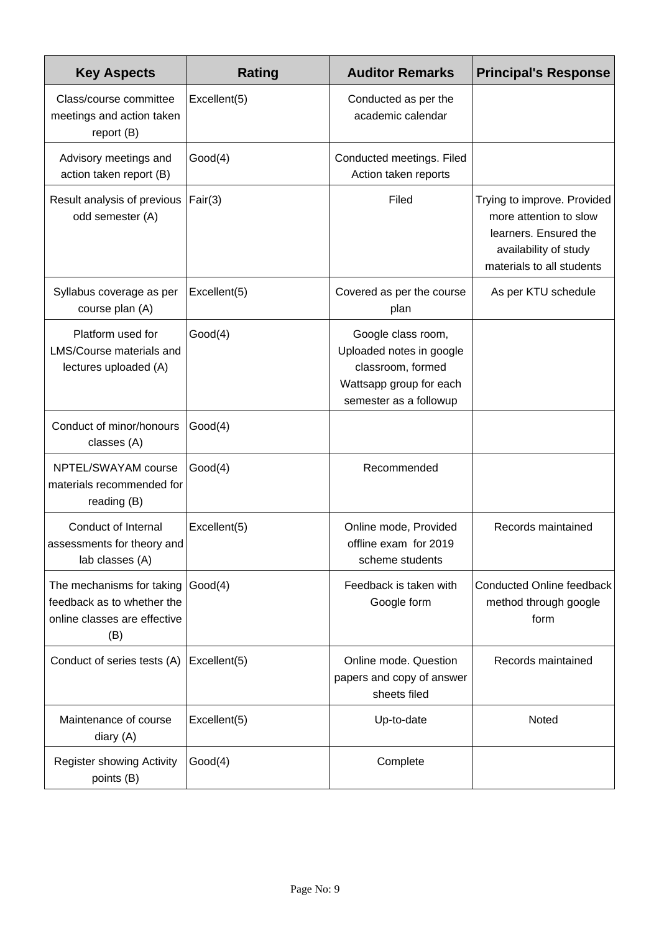| <b>Key Aspects</b>                                                                             | <b>Rating</b> | <b>Auditor Remarks</b>                                                                                                   | <b>Principal's Response</b>                                                                                                          |
|------------------------------------------------------------------------------------------------|---------------|--------------------------------------------------------------------------------------------------------------------------|--------------------------------------------------------------------------------------------------------------------------------------|
| Class/course committee<br>meetings and action taken<br>report (B)                              | Excellent(5)  | Conducted as per the<br>academic calendar                                                                                |                                                                                                                                      |
| Advisory meetings and<br>action taken report (B)                                               | Good(4)       | Conducted meetings. Filed<br>Action taken reports                                                                        |                                                                                                                                      |
| Result analysis of previous<br>odd semester (A)                                                | Fair(3)       | Filed                                                                                                                    | Trying to improve. Provided<br>more attention to slow<br>learners. Ensured the<br>availability of study<br>materials to all students |
| Syllabus coverage as per<br>course plan (A)                                                    | Excellent(5)  | Covered as per the course<br>plan                                                                                        | As per KTU schedule                                                                                                                  |
| Platform used for<br>LMS/Course materials and<br>lectures uploaded (A)                         | Good(4)       | Google class room,<br>Uploaded notes in google<br>classroom, formed<br>Wattsapp group for each<br>semester as a followup |                                                                                                                                      |
| Conduct of minor/honours<br>classes (A)                                                        | Good(4)       |                                                                                                                          |                                                                                                                                      |
| NPTEL/SWAYAM course<br>materials recommended for<br>reading (B)                                | Good(4)       | Recommended                                                                                                              |                                                                                                                                      |
| <b>Conduct of Internal</b><br>assessments for theory and<br>lab classes (A)                    | Excellent(5)  | Online mode, Provided<br>offline exam for 2019<br>scheme students                                                        | Records maintained                                                                                                                   |
| The mechanisms for taking<br>feedback as to whether the<br>online classes are effective<br>(B) | Good(4)       | Feedback is taken with<br>Google form                                                                                    | <b>Conducted Online feedback</b><br>method through google<br>form                                                                    |
| Conduct of series tests (A)                                                                    | Excellent(5)  | Online mode. Question<br>papers and copy of answer<br>sheets filed                                                       | Records maintained                                                                                                                   |
| Maintenance of course<br>diary (A)                                                             | Excellent(5)  | Up-to-date                                                                                                               | Noted                                                                                                                                |
| <b>Register showing Activity</b><br>points (B)                                                 | Good(4)       | Complete                                                                                                                 |                                                                                                                                      |